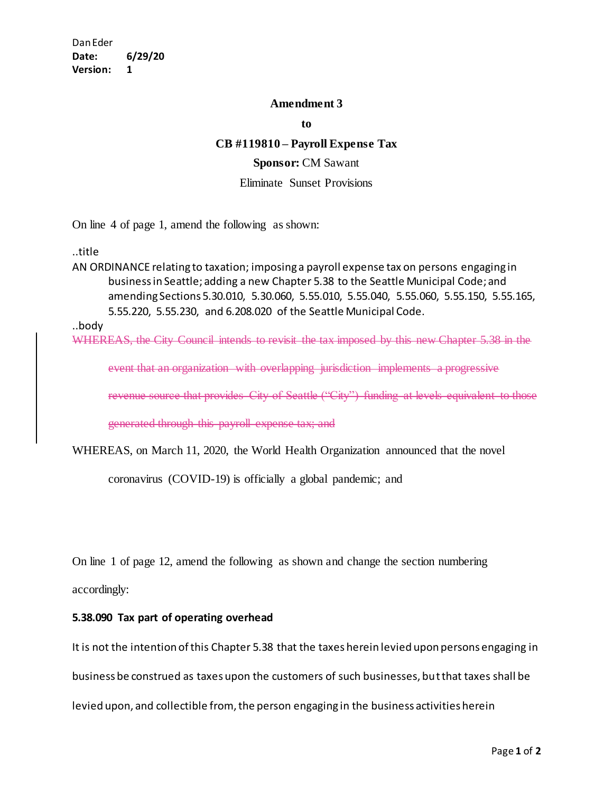Dan Eder **Date: 6/29/20 Version: 1**

#### **Amendment 3**

**to**

# **CB #119810 – Payroll Expense Tax**

### **Sponsor:** CM Sawant

## Eliminate Sunset Provisions

On line 4 of page 1, amend the following as shown:

..title

AN ORDINANCE relating to taxation; imposing a payroll expense tax on persons engaging in business in Seattle; adding a new Chapter 5.38 to the Seattle Municipal Code; and amending Sections 5.30.010, 5.30.060, 5.55.010, 5.55.040, 5.55.060, 5.55.150, 5.55.165, 5.55.220, 5.55.230, and 6.208.020 of the Seattle Municipal Code.

..body

WHEREAS, the City Council intends to revisit the tax imposed by this new Chapter 5.38 in the

event that an organization with overlapping jurisdiction implements a progressive

revenue source that provides City of Seattle ("City") funding at levels equivalent to those

generated through this payroll expense tax; and

WHEREAS, on March 11, 2020, the World Health Organization announced that the novel

coronavirus (COVID-19) is officially a global pandemic; and

On line 1 of page 12, amend the following as shown and change the section numbering accordingly:

### **5.38.090 Tax part of operating overhead**

It is not the intention of this Chapter 5.38 that the taxes herein levied upon persons engaging in

business be construed as taxes upon the customers of such businesses, but that taxes shall be

levied upon, and collectible from, the person engaging in the business activities herein